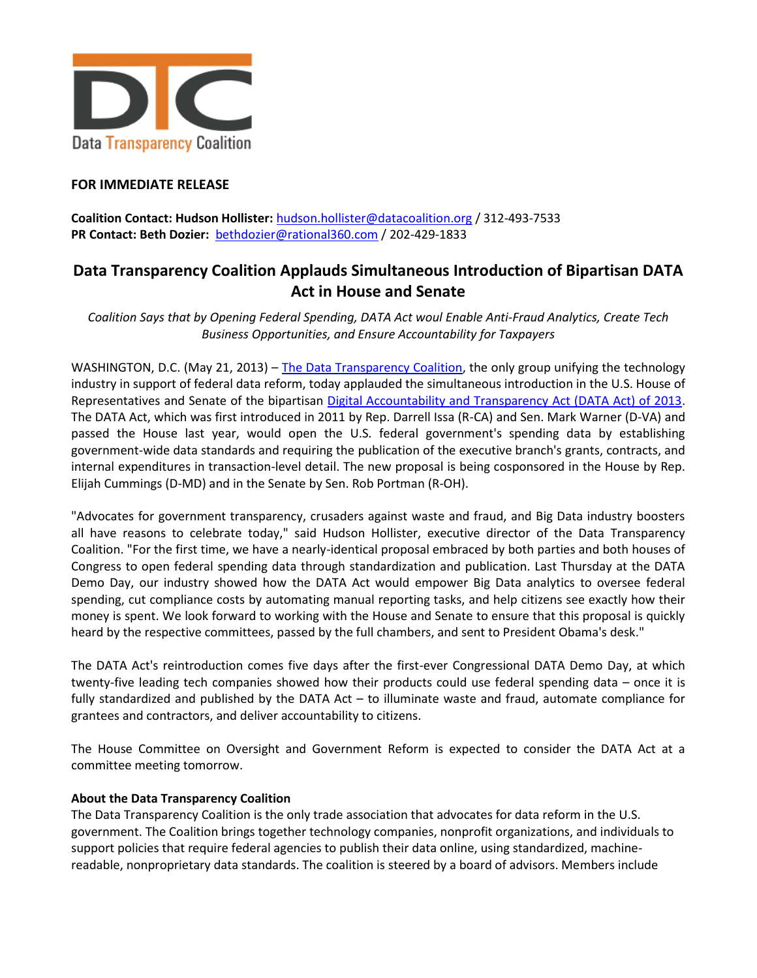

## **FOR IMMEDIATE RELEASE**

**Coalition Contact: Hudson Hollister:** [hudson.hollister@datacoalition.org](mailto:hudson.hollister@datacoalition.org) / 312-493-7533 **PR Contact: Beth Dozier:** [bethdozier@rational360.com](mailto:bethdozier@rational360.com) / 202-429-1833

## **Data Transparency Coalition Applauds Simultaneous Introduction of Bipartisan DATA Act in House and Senate**

*Coalition Says that by Opening Federal Spending, DATA Act woul Enable Anti-Fraud Analytics, Create Tech Business Opportunities, and Ensure Accountability for Taxpayers*

WASHINGTON, D.C. (May 21, 2013) – The [Data Transparency Coalition,](http://www.datacoalition.org/) the only group unifying the technology industry in support of federal data reform, today applauded the simultaneous introduction in the U.S. House of Representatives and Senate of the bipartisan [Digital Accountability and Transparency Act \(DATA Act\) of 2013.](http://datacoalition.com/issues/data-act.html) The DATA Act, which was first introduced in 2011 by Rep. Darrell Issa (R-CA) and Sen. Mark Warner (D-VA) and passed the House last year, would open the U.S. federal government's spending data by establishing government-wide data standards and requiring the publication of the executive branch's grants, contracts, and internal expenditures in transaction-level detail. The new proposal is being cosponsored in the House by Rep. Elijah Cummings (D-MD) and in the Senate by Sen. Rob Portman (R-OH).

"Advocates for government transparency, crusaders against waste and fraud, and Big Data industry boosters all have reasons to celebrate today," said Hudson Hollister, executive director of the Data Transparency Coalition. "For the first time, we have a nearly-identical proposal embraced by both parties and both houses of Congress to open federal spending data through standardization and publication. Last Thursday at the DATA Demo Day, our industry showed how the DATA Act would empower Big Data analytics to oversee federal spending, cut compliance costs by automating manual reporting tasks, and help citizens see exactly how their money is spent. We look forward to working with the House and Senate to ensure that this proposal is quickly heard by the respective committees, passed by the full chambers, and sent to President Obama's desk."

The DATA Act's reintroduction comes five days after the first-ever Congressional DATA Demo Day, at which twenty-five leading tech companies showed how their products could use federal spending data – once it is fully standardized and published by the DATA Act – to illuminate waste and fraud, automate compliance for grantees and contractors, and deliver accountability to citizens.

The House Committee on Oversight and Government Reform is expected to consider the DATA Act at a committee meeting tomorrow.

## **About the Data Transparency Coalition**

The Data Transparency Coalition is the only trade association that advocates for data reform in the U.S. government. The Coalition brings together technology companies, nonprofit organizations, and individuals to support policies that require federal agencies to publish their data online, using standardized, machinereadable, nonproprietary data standards. The coalition is steered by a board of advisors. Members include